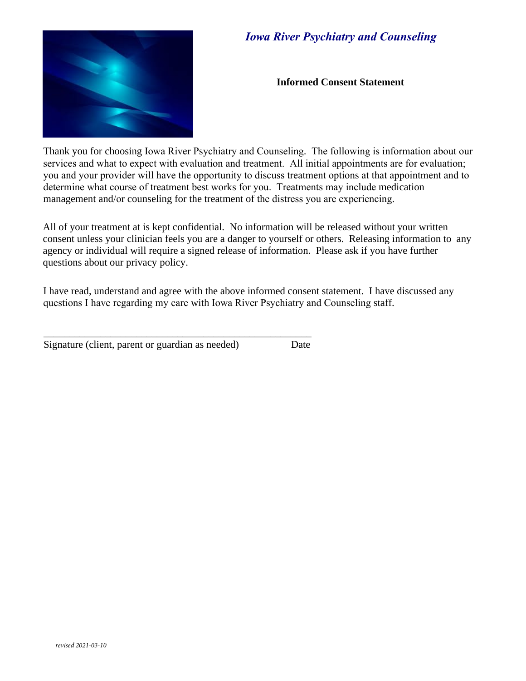

# *Iowa River Psychiatry and Counseling*

**Informed Consent Statement** 

Thank you for choosing Iowa River Psychiatry and Counseling. The following is information about our services and what to expect with evaluation and treatment. All initial appointments are for evaluation; you and your provider will have the opportunity to discuss treatment options at that appointment and to determine what course of treatment best works for you. Treatments may include medication management and/or counseling for the treatment of the distress you are experiencing.

All of your treatment at is kept confidential. No information will be released without your written consent unless your clinician feels you are a danger to yourself or others. Releasing information to any agency or individual will require a signed release of information. Please ask if you have further questions about our privacy policy.

I have read, understand and agree with the above informed consent statement. I have discussed any questions I have regarding my care with Iowa River Psychiatry and Counseling staff.

Signature (client, parent or guardian as needed) Date

\_\_\_\_\_\_\_\_\_\_\_\_\_\_\_\_\_\_\_\_\_\_\_\_\_\_\_\_\_\_\_\_\_\_\_\_\_\_\_\_\_\_\_\_\_\_\_\_\_\_\_\_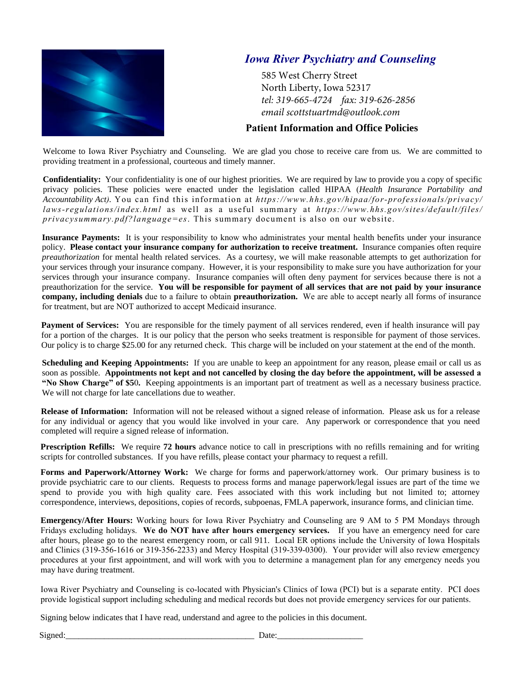

# *Iowa River Psychiatry and Counseling*

585 West Cherry Street North Liberty, Iowa 52317 *tel: 319-665-4724 fax: 319-626-2856 email scottstuartmd@outlook.com*

#### **Patient Information and Office Policies**

Welcome to Iowa River Psychiatry and Counseling. We are glad you chose to receive care from us. We are committed to providing treatment in a professional, courteous and timely manner.

**Confidentiality:** Your confidentiality is one of our highest priorities. We are required by law to provide you a copy of specific privacy policies. These policies were enacted under the legislation called HIPAA (*Health Insurance Portability and Accountability Act).* You can find this information at *https://www.hhs.gov/hipaa/for-professionals/privacy/ laws-regulations/index.html* as well as a useful summary at *https://www.hhs.gov/sites/default/files/ privacysummary.pdf?language=es*. This summary document is also on our website.

**Insurance Payments:** It is your responsibility to know who administrates your mental health benefits under your insurance policy. **Please contact your insurance company for authorization to receive treatment.** Insurance companies often require *preauthorization* for mental health related services. As a courtesy, we will make reasonable attempts to get authorization for your services through your insurance company. However, it is your responsibility to make sure you have authorization for your services through your insurance company. Insurance companies will often deny payment for services because there is not a preauthorization for the service. **You will be responsible for payment of all services that are not paid by your insurance company, including denials** due to a failure to obtain **preauthorization.** We are able to accept nearly all forms of insurance for treatment, but are NOT authorized to accept Medicaid insurance.

Payment of Services: You are responsible for the timely payment of all services rendered, even if health insurance will pay for a portion of the charges. It is our policy that the person who seeks treatment is responsible for payment of those services. Our policy is to charge \$25.00 for any returned check. This charge will be included on your statement at the end of the month.

**Scheduling and Keeping Appointments:** If you are unable to keep an appointment for any reason, please email or call us as soon as possible. **Appointments not kept and not cancelled by closing the day before the appointment, will be assessed a "No Show Charge" of \$5**0**.** Keeping appointments is an important part of treatment as well as a necessary business practice. We will not charge for late cancellations due to weather.

**Release of Information:** Information will not be released without a signed release of information. Please ask us for a release for any individual or agency that you would like involved in your care. Any paperwork or correspondence that you need completed will require a signed release of information.

**Prescription Refills:** We require **72 hours** advance notice to call in prescriptions with no refills remaining and for writing scripts for controlled substances. If you have refills, please contact your pharmacy to request a refill.

**Forms and Paperwork/Attorney Work:** We charge for forms and paperwork/attorney work. Our primary business is to provide psychiatric care to our clients. Requests to process forms and manage paperwork/legal issues are part of the time we spend to provide you with high quality care. Fees associated with this work including but not limited to; attorney correspondence, interviews, depositions, copies of records, subpoenas, FMLA paperwork, insurance forms, and clinician time.

**Emergency/After Hours:** Working hours for Iowa River Psychiatry and Counseling are 9 AM to 5 PM Mondays through Fridays excluding holidays. **We do NOT have after hours emergency services.** If you have an emergency need for care after hours, please go to the nearest emergency room, or call 911. Local ER options include the University of Iowa Hospitals and Clinics (319-356-1616 or 319-356-2233) and Mercy Hospital (319-339-0300). Your provider will also review emergency procedures at your first appointment, and will work with you to determine a management plan for any emergency needs you may have during treatment.

Iowa River Psychiatry and Counseling is co-located with Physician's Clinics of Iowa (PCI) but is a separate entity. PCI does provide logistical support including scheduling and medical records but does not provide emergency services for our patients.

Signing below indicates that I have read, understand and agree to the policies in this document.

 $Signed:$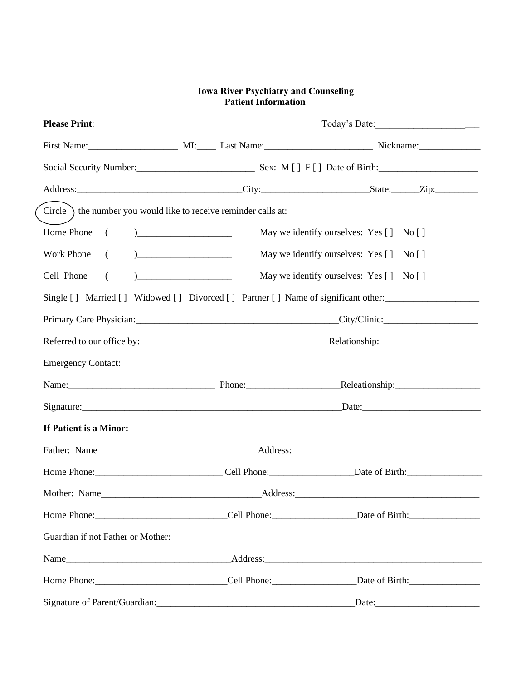#### **Iowa River Psychiatry and Counseling Patient Information**

| <b>Please Print:</b>                                                       |                                                                                                                                                                                                                                |                                                                                                                                                                                                                                |  |
|----------------------------------------------------------------------------|--------------------------------------------------------------------------------------------------------------------------------------------------------------------------------------------------------------------------------|--------------------------------------------------------------------------------------------------------------------------------------------------------------------------------------------------------------------------------|--|
|                                                                            |                                                                                                                                                                                                                                | First Name: MI: MI: Last Name: Nickname: Nickname:                                                                                                                                                                             |  |
|                                                                            |                                                                                                                                                                                                                                |                                                                                                                                                                                                                                |  |
|                                                                            |                                                                                                                                                                                                                                |                                                                                                                                                                                                                                |  |
| Circle $\setminus$ the number you would like to receive reminder calls at: |                                                                                                                                                                                                                                |                                                                                                                                                                                                                                |  |
| Home Phone<br>$\left($                                                     | May we identify ourselves: Yes [] No []<br>$\begin{tabular}{ c c c c } \hline \quad \quad & \quad \quad & \quad \quad & \quad \quad \\ \hline \end{tabular}$                                                                   |                                                                                                                                                                                                                                |  |
| Work Phone<br>$\left($                                                     | May we identify ourselves: Yes [] No []                                                                                                                                                                                        |                                                                                                                                                                                                                                |  |
| Cell Phone<br>$\left($                                                     | May we identify ourselves: Yes [] No []                                                                                                                                                                                        |                                                                                                                                                                                                                                |  |
|                                                                            |                                                                                                                                                                                                                                | Single [] Married [] Widowed [] Divorced [] Partner [] Name of significant other:                                                                                                                                              |  |
|                                                                            |                                                                                                                                                                                                                                |                                                                                                                                                                                                                                |  |
|                                                                            |                                                                                                                                                                                                                                |                                                                                                                                                                                                                                |  |
| <b>Emergency Contact:</b>                                                  |                                                                                                                                                                                                                                |                                                                                                                                                                                                                                |  |
|                                                                            |                                                                                                                                                                                                                                | Name: Name: Name: Name: Name: Neleationship: Name: Neleationship: Name: Neleationship: Name: Neleationship: Name: Neleationship: Name: Neleationship: Name: Neleationship: Name: Neleationship: Name: Neleationship: Name: Nel |  |
|                                                                            | Signature: Date: Date: Date: Date: Date: Date: Date: Date: Date: Date: Date: Date: Date: Date: Date: Date: Date: Date: Date: Date: Date: Date: Date: Date: Date: Date: Date: Date: Date: Date: Date: Date: Date: Date: Date: D |                                                                                                                                                                                                                                |  |
| If Patient is a Minor:                                                     |                                                                                                                                                                                                                                |                                                                                                                                                                                                                                |  |
|                                                                            |                                                                                                                                                                                                                                |                                                                                                                                                                                                                                |  |
|                                                                            |                                                                                                                                                                                                                                |                                                                                                                                                                                                                                |  |
|                                                                            |                                                                                                                                                                                                                                |                                                                                                                                                                                                                                |  |
|                                                                            |                                                                                                                                                                                                                                |                                                                                                                                                                                                                                |  |
| Guardian if not Father or Mother:                                          |                                                                                                                                                                                                                                |                                                                                                                                                                                                                                |  |
|                                                                            |                                                                                                                                                                                                                                |                                                                                                                                                                                                                                |  |
|                                                                            |                                                                                                                                                                                                                                |                                                                                                                                                                                                                                |  |
|                                                                            |                                                                                                                                                                                                                                | Signature of Parent/Guardian: Date: Date: Date:                                                                                                                                                                                |  |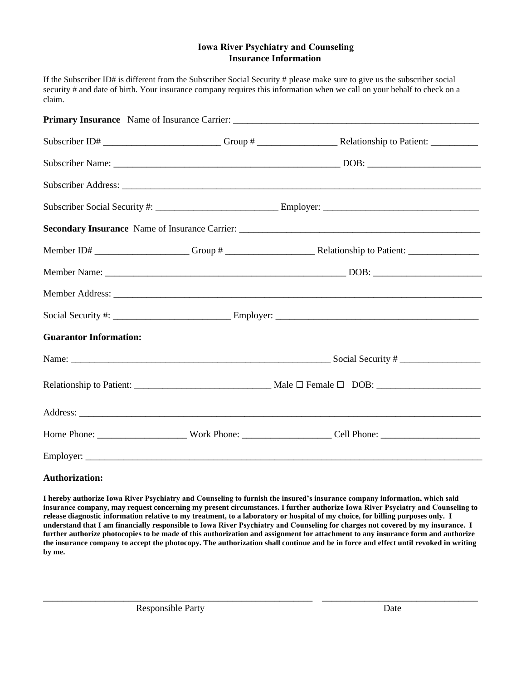### **Insurance Information Iowa River Psychiatry and Counseling**

If the Subscriber ID# is different from the Subscriber Social Security # please make sure to give us the subscriber social security # and date of birth. Your insurance company requires this information when we call on your behalf to check on a claim.

|                               |  | Member Address: New York Contract to the Contract of the Contract of the Contract of the Contract of the Contract of the Contract of the Contract of the Contract of the Contract of the Contract of the Contract of the Contr |  |
|-------------------------------|--|--------------------------------------------------------------------------------------------------------------------------------------------------------------------------------------------------------------------------------|--|
|                               |  |                                                                                                                                                                                                                                |  |
| <b>Guarantor Information:</b> |  |                                                                                                                                                                                                                                |  |
|                               |  |                                                                                                                                                                                                                                |  |
|                               |  |                                                                                                                                                                                                                                |  |
|                               |  |                                                                                                                                                                                                                                |  |
|                               |  |                                                                                                                                                                                                                                |  |
|                               |  |                                                                                                                                                                                                                                |  |

#### **Authorization:**

**I hereby authorize Iowa River Psychiatry and Counseling to furnish the insured's insurance company information, which said insurance company, may request concerning my present circumstances. I further authorize Iowa River Psyciatry and Counseling to release diagnostic information relative to my treatment, to a laboratory or hospital of my choice, for billing purposes only. I understand that I am financially responsible to Iowa River Psychiatry and Counseling for charges not covered by my insurance. I further authorize photocopies to be made of this authorization and assignment for attachment to any insurance form and authorize the insurance company to accept the photocopy. The authorization shall continue and be in force and effect until revoked in writing by me.** 

\_\_\_\_\_\_\_\_\_\_\_\_\_\_\_\_\_\_\_\_\_\_\_\_\_\_\_\_\_\_\_\_\_\_\_\_\_\_\_\_\_\_\_\_\_\_\_\_\_\_\_\_\_\_\_\_\_ \_\_\_\_\_\_\_\_\_\_\_\_\_\_\_\_\_\_\_\_\_\_\_\_\_\_\_\_\_\_\_\_\_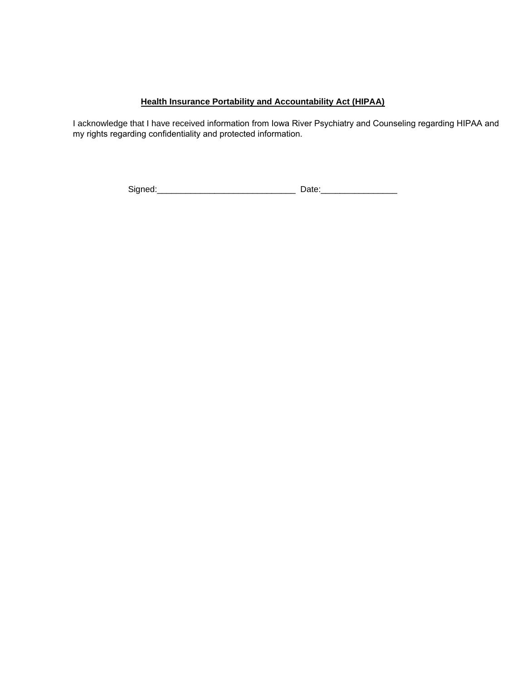### **Health Insurance Portability and Accountability Act (HIPAA)**

I acknowledge that I have received information from Iowa River Psychiatry and Counseling regarding HIPAA and my rights regarding confidentiality and protected information.

Signed:\_\_\_\_\_\_\_\_\_\_\_\_\_\_\_\_\_\_\_\_\_\_\_\_\_\_\_\_\_ Date:\_\_\_\_\_\_\_\_\_\_\_\_\_\_\_\_